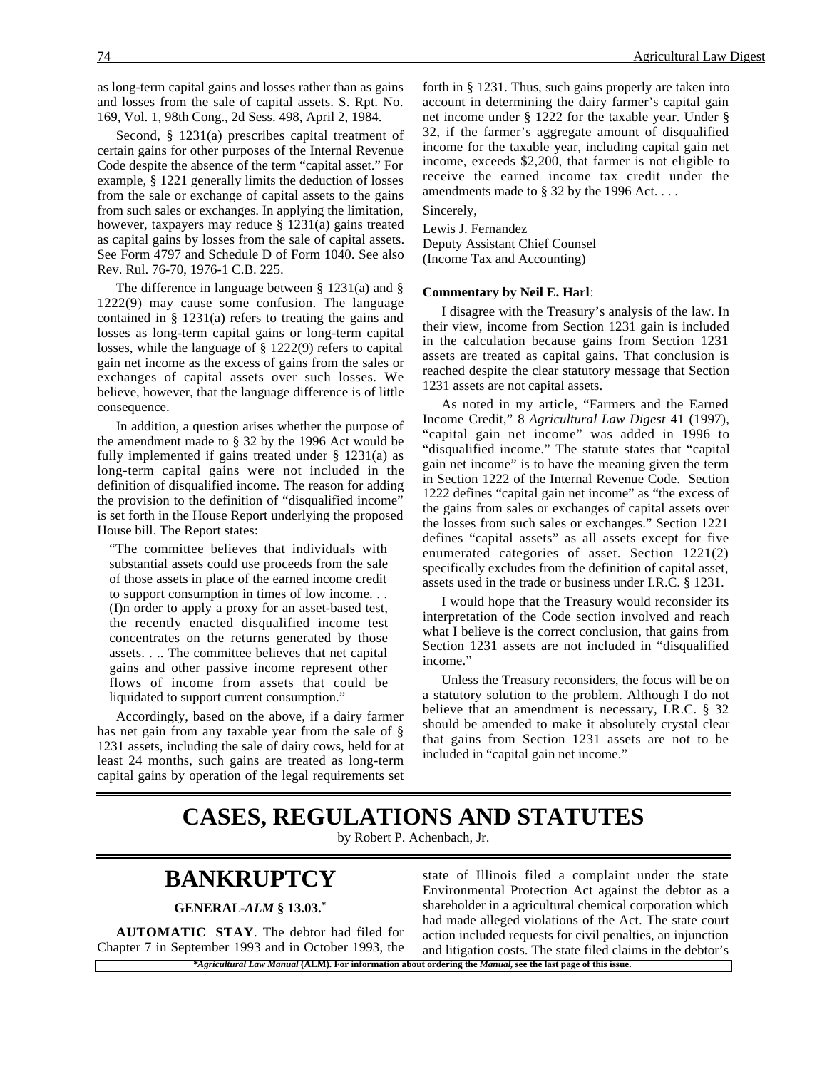as long-term capital gains and losses rather than as gains and losses from the sale of capital assets. S. Rpt. No. 169, Vol. 1, 98th Cong., 2d Sess. 498, April 2, 1984.

Second, § 1231(a) prescribes capital treatment of certain gains for other purposes of the Internal Revenue Code despite the absence of the term "capital asset." For example, § 1221 generally limits the deduction of losses from the sale or exchange of capital assets to the gains from such sales or exchanges. In applying the limitation, however, taxpayers may reduce § 1231(a) gains treated as capital gains by losses from the sale of capital assets. See Form 4797 and Schedule D of Form 1040. See also Rev. Rul. 76-70, 1976-1 C.B. 225.

The difference in language between § 1231(a) and § 1222(9) may cause some confusion. The language contained in § 1231(a) refers to treating the gains and losses as long-term capital gains or long-term capital losses, while the language of § 1222(9) refers to capital gain net income as the excess of gains from the sales or exchanges of capital assets over such losses. We believe, however, that the language difference is of little consequence.

In addition, a question arises whether the purpose of the amendment made to § 32 by the 1996 Act would be fully implemented if gains treated under  $\S$  1231(a) as long-term capital gains were not included in the definition of disqualified income. The reason for adding the provision to the definition of "disqualified income" is set forth in the House Report underlying the proposed House bill. The Report states:

"The committee believes that individuals with substantial assets could use proceeds from the sale of those assets in place of the earned income credit to support consumption in times of low income. . . (I)n order to apply a proxy for an asset-based test, the recently enacted disqualified income test concentrates on the returns generated by those assets. . .. The committee believes that net capital gains and other passive income represent other flows of income from assets that could be liquidated to support current consumption."

Accordingly, based on the above, if a dairy farmer has net gain from any taxable year from the sale of § 1231 assets, including the sale of dairy cows, held for at least 24 months, such gains are treated as long-term capital gains by operation of the legal requirements set forth in § 1231. Thus, such gains properly are taken into account in determining the dairy farmer's capital gain net income under § 1222 for the taxable year. Under § 32, if the farmer's aggregate amount of disqualified income for the taxable year, including capital gain net income, exceeds \$2,200, that farmer is not eligible to receive the earned income tax credit under the amendments made to  $\S$  32 by the 1996 Act...

Sincerely,

Lewis J. Fernandez Deputy Assistant Chief Counsel (Income Tax and Accounting)

#### **Commentary by Neil E. Harl**:

I disagree with the Treasury's analysis of the law. In their view, income from Section 1231 gain is included in the calculation because gains from Section 1231 assets are treated as capital gains. That conclusion is reached despite the clear statutory message that Section 1231 assets are not capital assets.

As noted in my article, "Farmers and the Earned Income Credit," 8 *Agricultural Law Digest* 41 (1997), "capital gain net income" was added in 1996 to "disqualified income." The statute states that "capital gain net income" is to have the meaning given the term in Section 1222 of the Internal Revenue Code. Section 1222 defines "capital gain net income" as "the excess of the gains from sales or exchanges of capital assets over the losses from such sales or exchanges." Section 1221 defines "capital assets" as all assets except for five enumerated categories of asset. Section 1221(2) specifically excludes from the definition of capital asset, assets used in the trade or business under I.R.C. § 1231.

I would hope that the Treasury would reconsider its interpretation of the Code section involved and reach what I believe is the correct conclusion, that gains from Section 1231 assets are not included in "disqualified income."

Unless the Treasury reconsiders, the focus will be on a statutory solution to the problem. Although I do not believe that an amendment is necessary, I.R.C. § 32 should be amended to make it absolutely crystal clear that gains from Section 1231 assets are not to be included in "capital gain net income."

## **CASES, REGULATIONS AND STATUTES**

by Robert P. Achenbach, Jr.

## **BANKRUPTCY**

#### **GENERAL -***ALM* **§ 13.03.\***

**AUTOMATIC STAY**. The debtor had filed for Chapter 7 in September 1993 and in October 1993, the

*\*Agricultural Law Manual* **(ALM). For information about ordering the** *Manual***, see the last page of this issue.** state of Illinois filed a complaint under the state Environmental Protection Act against the debtor as a shareholder in a agricultural chemical corporation which had made alleged violations of the Act. The state court action included requests for civil penalties, an injunction and litigation costs. The state filed claims in the debtor's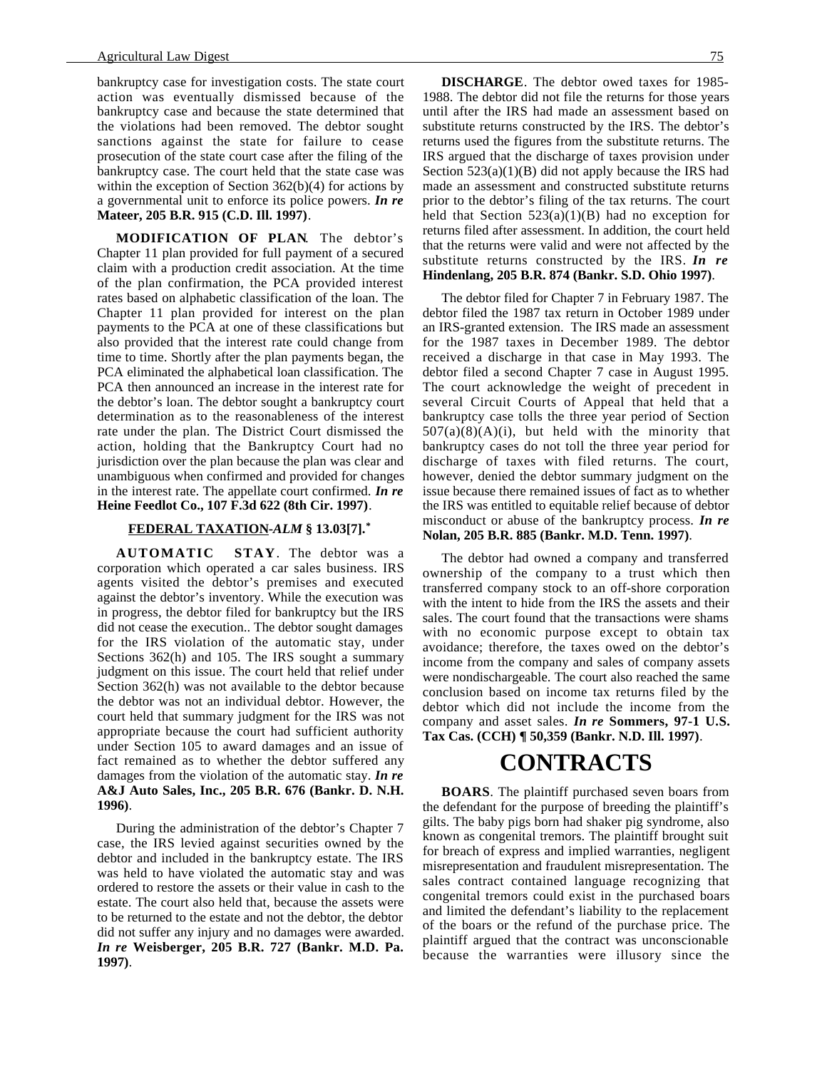#### Agricultural Law Digest 75

bankruptcy case for investigation costs. The state court action was eventually dismissed because of the bankruptcy case and because the state determined that the violations had been removed. The debtor sought sanctions against the state for failure to cease prosecution of the state court case after the filing of the bankruptcy case. The court held that the state case was within the exception of Section 362(b)(4) for actions by a governmental unit to enforce its police powers. *In re* **Mateer, 205 B.R. 915 (C.D. Ill. 1997)**.

**MODIFICATION OF PLAN**. The debtor's Chapter 11 plan provided for full payment of a secured claim with a production credit association. At the time of the plan confirmation, the PCA provided interest rates based on alphabetic classification of the loan. The Chapter 11 plan provided for interest on the plan payments to the PCA at one of these classifications but also provided that the interest rate could change from time to time. Shortly after the plan payments began, the PCA eliminated the alphabetical loan classification. The PCA then announced an increase in the interest rate for the debtor's loan. The debtor sought a bankruptcy court determination as to the reasonableness of the interest rate under the plan. The District Court dismissed the action, holding that the Bankruptcy Court had no jurisdiction over the plan because the plan was clear and unambiguous when confirmed and provided for changes in the interest rate. The appellate court confirmed. *In re* **Heine Feedlot Co., 107 F.3d 622 (8th Cir. 1997)**.

#### **FEDERAL TAXATION -***ALM* **§ 13.03[7].\***

**AUTOMATIC STAY**. The debtor was a corporation which operated a car sales business. IRS agents visited the debtor's premises and executed against the debtor's inventory. While the execution was in progress, the debtor filed for bankruptcy but the IRS did not cease the execution.. The debtor sought damages for the IRS violation of the automatic stay, under Sections 362(h) and 105. The IRS sought a summary judgment on this issue. The court held that relief under Section 362(h) was not available to the debtor because the debtor was not an individual debtor. However, the court held that summary judgment for the IRS was not appropriate because the court had sufficient authority under Section 105 to award damages and an issue of fact remained as to whether the debtor suffered any damages from the violation of the automatic stay. *In re* **A&J Auto Sales, Inc., 205 B.R. 676 (Bankr. D. N.H. 1996)**.

During the administration of the debtor's Chapter 7 case, the IRS levied against securities owned by the debtor and included in the bankruptcy estate. The IRS was held to have violated the automatic stay and was ordered to restore the assets or their value in cash to the estate. The court also held that, because the assets were to be returned to the estate and not the debtor, the debtor did not suffer any injury and no damages were awarded. *In re* **Weisberger, 205 B.R. 727 (Bankr. M.D. Pa. 1997)**.

**DISCHARGE**. The debtor owed taxes for 1985- 1988. The debtor did not file the returns for those years until after the IRS had made an assessment based on substitute returns constructed by the IRS. The debtor's returns used the figures from the substitute returns. The IRS argued that the discharge of taxes provision under Section 523(a)(1)(B) did not apply because the IRS had made an assessment and constructed substitute returns prior to the debtor's filing of the tax returns. The court held that Section  $523(a)(1)(B)$  had no exception for returns filed after assessment. In addition, the court held that the returns were valid and were not affected by the substitute returns constructed by the IRS. *In re* **Hindenlang, 205 B.R. 874 (Bankr. S.D. Ohio 1997)**.

The debtor filed for Chapter 7 in February 1987. The debtor filed the 1987 tax return in October 1989 under an IRS-granted extension. The IRS made an assessment for the 1987 taxes in December 1989. The debtor received a discharge in that case in May 1993. The debtor filed a second Chapter 7 case in August 1995. The court acknowledge the weight of precedent in several Circuit Courts of Appeal that held that a bankruptcy case tolls the three year period of Section  $507(a)(8)(A)(i)$ , but held with the minority that bankruptcy cases do not toll the three year period for discharge of taxes with filed returns. The court, however, denied the debtor summary judgment on the issue because there remained issues of fact as to whether the IRS was entitled to equitable relief because of debtor misconduct or abuse of the bankruptcy process. *In re* **Nolan, 205 B.R. 885 (Bankr. M.D. Tenn. 1997)**.

The debtor had owned a company and transferred ownership of the company to a trust which then transferred company stock to an off-shore corporation with the intent to hide from the IRS the assets and their sales. The court found that the transactions were shams with no economic purpose except to obtain tax avoidance; therefore, the taxes owed on the debtor's income from the company and sales of company assets were nondischargeable. The court also reached the same conclusion based on income tax returns filed by the debtor which did not include the income from the company and asset sales. *In re* **Sommers, 97-1 U.S. Tax Cas. (CCH) ¶ 50,359 (Bankr. N.D. Ill. 1997)**.

## **CONTRACTS**

**BOARS**. The plaintiff purchased seven boars from the defendant for the purpose of breeding the plaintiff's gilts. The baby pigs born had shaker pig syndrome, also known as congenital tremors. The plaintiff brought suit for breach of express and implied warranties, negligent misrepresentation and fraudulent misrepresentation. The sales contract contained language recognizing that congenital tremors could exist in the purchased boars and limited the defendant's liability to the replacement of the boars or the refund of the purchase price. The plaintiff argued that the contract was unconscionable because the warranties were illusory since the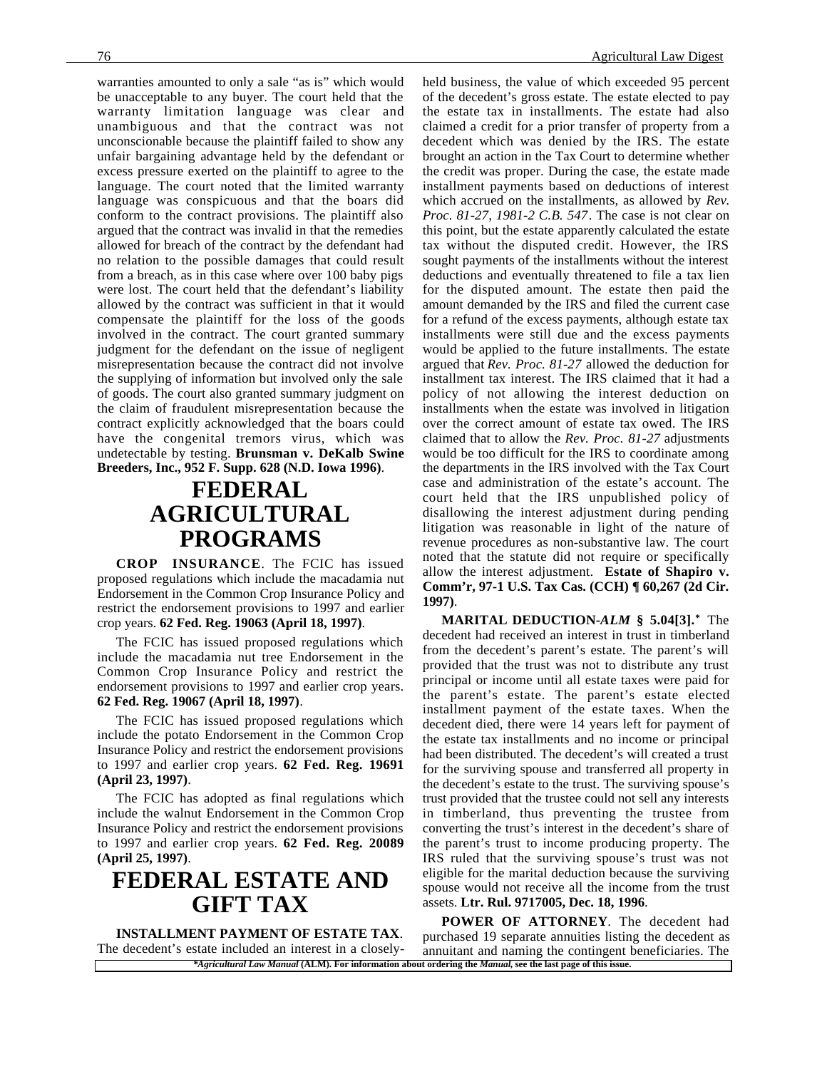warranties amounted to only a sale "as is" which would be unacceptable to any buyer. The court held that the warranty limitation language was clear and unambiguous and that the contract was not unconscionable because the plaintiff failed to show any unfair bargaining advantage held by the defendant or excess pressure exerted on the plaintiff to agree to the language. The court noted that the limited warranty language was conspicuous and that the boars did conform to the contract provisions. The plaintiff also argued that the contract was invalid in that the remedies allowed for breach of the contract by the defendant had no relation to the possible damages that could result from a breach, as in this case where over 100 baby pigs were lost. The court held that the defendant's liability allowed by the contract was sufficient in that it would compensate the plaintiff for the loss of the goods involved in the contract. The court granted summary judgment for the defendant on the issue of negligent misrepresentation because the contract did not involve the supplying of information but involved only the sale of goods. The court also granted summary judgment on the claim of fraudulent misrepresentation because the contract explicitly acknowledged that the boars could have the congenital tremors virus, which was undetectable by testing. **Brunsman v. DeKalb Swine Breeders, Inc., 952 F. Supp. 628 (N.D. Iowa 1996)**.

## **FEDERAL AGRICULTURAL PROGRAMS**

**CROP INSURANCE**. The FCIC has issued proposed regulations which include the macadamia nut Endorsement in the Common Crop Insurance Policy and restrict the endorsement provisions to 1997 and earlier crop years. **62 Fed. Reg. 19063 (April 18, 1997)**.

The FCIC has issued proposed regulations which include the macadamia nut tree Endorsement in the Common Crop Insurance Policy and restrict the endorsement provisions to 1997 and earlier crop years. **62 Fed. Reg. 19067 (April 18, 1997)**.

The FCIC has issued proposed regulations which include the potato Endorsement in the Common Crop Insurance Policy and restrict the endorsement provisions to 1997 and earlier crop years. **62 Fed. Reg. 19691 (April 23, 1997)**.

The FCIC has adopted as final regulations which include the walnut Endorsement in the Common Crop Insurance Policy and restrict the endorsement provisions to 1997 and earlier crop years. **62 Fed. Reg. 20089 (April 25, 1997)**.

## **FEDERAL ESTATE AND GIFT TAX**

**INSTALLMENT PAYMENT OF ESTATE TAX**. The decedent's estate included an interest in a closelyheld business, the value of which exceeded 95 percent of the decedent's gross estate. The estate elected to pay the estate tax in installments. The estate had also claimed a credit for a prior transfer of property from a decedent which was denied by the IRS. The estate brought an action in the Tax Court to determine whether the credit was proper. During the case, the estate made installment payments based on deductions of interest which accrued on the installments, as allowed by *Rev. Proc. 81-27, 1981-2 C.B. 547*. The case is not clear on this point, but the estate apparently calculated the estate tax without the disputed credit. However, the IRS sought payments of the installments without the interest deductions and eventually threatened to file a tax lien for the disputed amount. The estate then paid the amount demanded by the IRS and filed the current case for a refund of the excess payments, although estate tax installments were still due and the excess payments would be applied to the future installments. The estate argued that *Rev. Proc. 81-27* allowed the deduction for installment tax interest. The IRS claimed that it had a policy of not allowing the interest deduction on installments when the estate was involved in litigation over the correct amount of estate tax owed. The IRS claimed that to allow the *Rev. Proc. 81-27* adjustments would be too difficult for the IRS to coordinate among the departments in the IRS involved with the Tax Court case and administration of the estate's account. The court held that the IRS unpublished policy of disallowing the interest adjustment during pending litigation was reasonable in light of the nature of revenue procedures as non-substantive law. The court noted that the statute did not require or specifically allow the interest adjustment. **Estate of Shapiro v. Comm'r, 97-1 U.S. Tax Cas. (CCH) ¶ 60,267 (2d Cir. 1997)**.

**MARITAL DEDUCTION-***ALM* **§ 5.04[3].\*** The decedent had received an interest in trust in timberland from the decedent's parent's estate. The parent's will provided that the trust was not to distribute any trust principal or income until all estate taxes were paid for the parent's estate. The parent's estate elected installment payment of the estate taxes. When the decedent died, there were 14 years left for payment of the estate tax installments and no income or principal had been distributed. The decedent's will created a trust for the surviving spouse and transferred all property in the decedent's estate to the trust. The surviving spouse's trust provided that the trustee could not sell any interests in timberland, thus preventing the trustee from converting the trust's interest in the decedent's share of the parent's trust to income producing property. The IRS ruled that the surviving spouse's trust was not eligible for the marital deduction because the surviving spouse would not receive all the income from the trust assets. **Ltr. Rul. 9717005, Dec. 18, 1996**.

*\*Agricultural Law Manual* **(ALM). For information about ordering the** *Manual***, see the last page of this issue. POWER OF ATTORNEY**. The decedent had purchased 19 separate annuities listing the decedent as annuitant and naming the contingent beneficiaries. The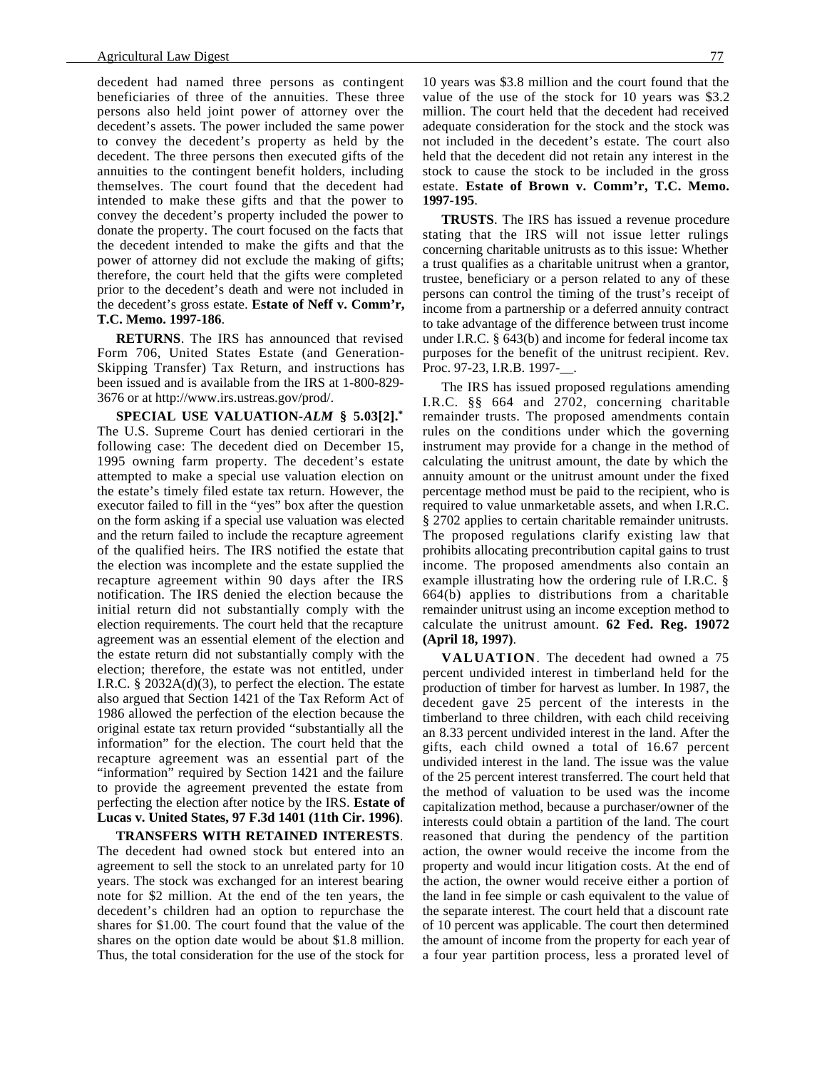decedent had named three persons as contingent beneficiaries of three of the annuities. These three persons also held joint power of attorney over the decedent's assets. The power included the same power to convey the decedent's property as held by the decedent. The three persons then executed gifts of the annuities to the contingent benefit holders, including themselves. The court found that the decedent had intended to make these gifts and that the power to convey the decedent's property included the power to donate the property. The court focused on the facts that the decedent intended to make the gifts and that the power of attorney did not exclude the making of gifts; therefore, the court held that the gifts were completed prior to the decedent's death and were not included in the decedent's gross estate. **Estate of Neff v. Comm'r, T.C. Memo. 1997-186**.

**RETURNS**. The IRS has announced that revised Form 706, United States Estate (and Generation-Skipping Transfer) Tax Return, and instructions has been issued and is available from the IRS at 1-800-829- 3676 or at http://www.irs.ustreas.gov/prod/.

**SPECIAL USE VALUATION-***ALM* **§ 5.03[2].\*** The U.S. Supreme Court has denied certiorari in the following case: The decedent died on December 15, 1995 owning farm property. The decedent's estate attempted to make a special use valuation election on the estate's timely filed estate tax return. However, the executor failed to fill in the "yes" box after the question on the form asking if a special use valuation was elected and the return failed to include the recapture agreement of the qualified heirs. The IRS notified the estate that the election was incomplete and the estate supplied the recapture agreement within 90 days after the IRS notification. The IRS denied the election because the initial return did not substantially comply with the election requirements. The court held that the recapture agreement was an essential element of the election and the estate return did not substantially comply with the election; therefore, the estate was not entitled, under I.R.C.  $\S$  2032A(d)(3), to perfect the election. The estate also argued that Section 1421 of the Tax Reform Act of 1986 allowed the perfection of the election because the original estate tax return provided "substantially all the information" for the election. The court held that the recapture agreement was an essential part of the "information" required by Section 1421 and the failure to provide the agreement prevented the estate from perfecting the election after notice by the IRS. **Estate of Lucas v. United States, 97 F.3d 1401 (11th Cir. 1996)**.

**TRANSFERS WITH RETAINED INTERESTS**. The decedent had owned stock but entered into an agreement to sell the stock to an unrelated party for 10 years. The stock was exchanged for an interest bearing note for \$2 million. At the end of the ten years, the decedent's children had an option to repurchase the shares for \$1.00. The court found that the value of the shares on the option date would be about \$1.8 million. Thus, the total consideration for the use of the stock for

10 years was \$3.8 million and the court found that the value of the use of the stock for 10 years was \$3.2 million. The court held that the decedent had received adequate consideration for the stock and the stock was not included in the decedent's estate. The court also held that the decedent did not retain any interest in the stock to cause the stock to be included in the gross estate. **Estate of Brown v. Comm'r, T.C. Memo. 1997-195**.

**TRUSTS**. The IRS has issued a revenue procedure stating that the IRS will not issue letter rulings concerning charitable unitrusts as to this issue: Whether a trust qualifies as a charitable unitrust when a grantor, trustee, beneficiary or a person related to any of these persons can control the timing of the trust's receipt of income from a partnership or a deferred annuity contract to take advantage of the difference between trust income under I.R.C. § 643(b) and income for federal income tax purposes for the benefit of the unitrust recipient. Rev. Proc. 97-23, I.R.B. 1997-.

The IRS has issued proposed regulations amending I.R.C. §§ 664 and 2702, concerning charitable remainder trusts. The proposed amendments contain rules on the conditions under which the governing instrument may provide for a change in the method of calculating the unitrust amount, the date by which the annuity amount or the unitrust amount under the fixed percentage method must be paid to the recipient, who is required to value unmarketable assets, and when I.R.C. § 2702 applies to certain charitable remainder unitrusts. The proposed regulations clarify existing law that prohibits allocating precontribution capital gains to trust income. The proposed amendments also contain an example illustrating how the ordering rule of I.R.C. § 664(b) applies to distributions from a charitable remainder unitrust using an income exception method to calculate the unitrust amount. **62 Fed. Reg. 19072 (April 18, 1997)**.

**VALUATION**. The decedent had owned a 75 percent undivided interest in timberland held for the production of timber for harvest as lumber. In 1987, the decedent gave 25 percent of the interests in the timberland to three children, with each child receiving an 8.33 percent undivided interest in the land. After the gifts, each child owned a total of 16.67 percent undivided interest in the land. The issue was the value of the 25 percent interest transferred. The court held that the method of valuation to be used was the income capitalization method, because a purchaser/owner of the interests could obtain a partition of the land. The court reasoned that during the pendency of the partition action, the owner would receive the income from the property and would incur litigation costs. At the end of the action, the owner would receive either a portion of the land in fee simple or cash equivalent to the value of the separate interest. The court held that a discount rate of 10 percent was applicable. The court then determined the amount of income from the property for each year of a four year partition process, less a prorated level of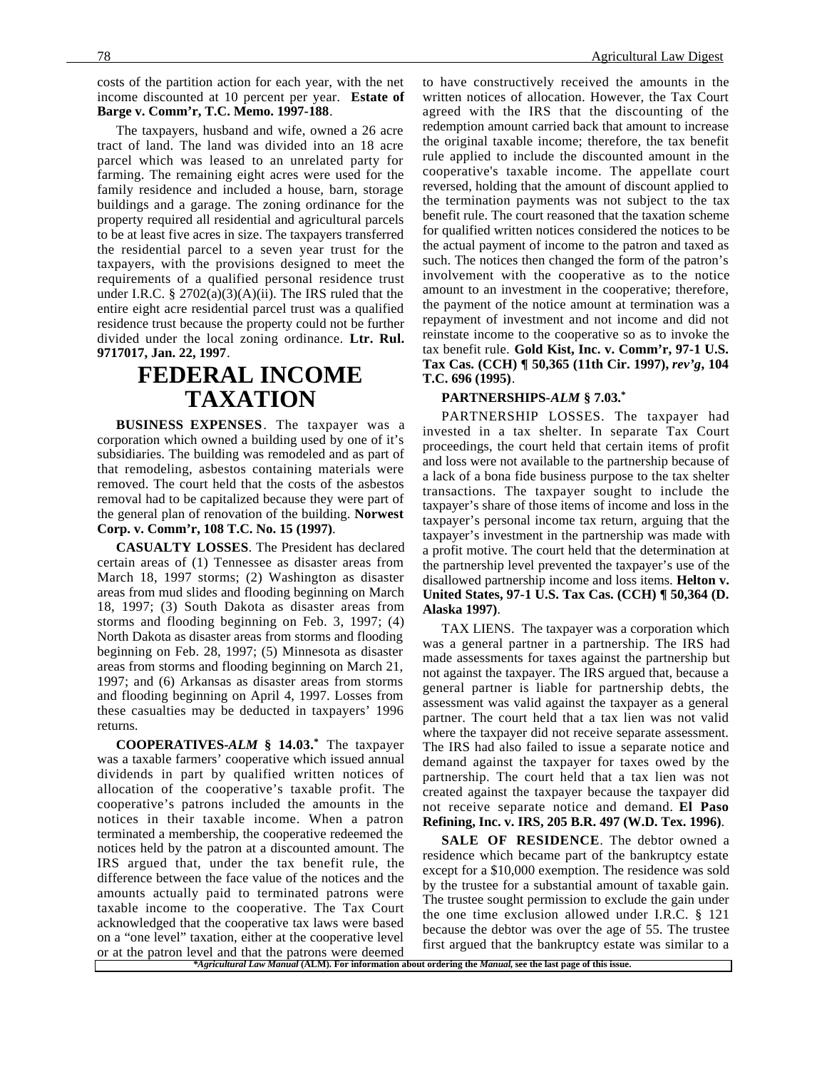costs of the partition action for each year, with the net income discounted at 10 percent per year. **Estate of Barge v. Comm'r, T.C. Memo. 1997-188**.

The taxpayers, husband and wife, owned a 26 acre tract of land. The land was divided into an 18 acre parcel which was leased to an unrelated party for farming. The remaining eight acres were used for the family residence and included a house, barn, storage buildings and a garage. The zoning ordinance for the property required all residential and agricultural parcels to be at least five acres in size. The taxpayers transferred the residential parcel to a seven year trust for the taxpayers, with the provisions designed to meet the requirements of a qualified personal residence trust under I.R.C.  $\S 2702(a)(3)(A)(ii)$ . The IRS ruled that the entire eight acre residential parcel trust was a qualified residence trust because the property could not be further divided under the local zoning ordinance. **Ltr. Rul. 9717017, Jan. 22, 1997**.

## **FEDERAL INCOME TAXATION**

**BUSINESS EXPENSES**. The taxpayer was a corporation which owned a building used by one of it's subsidiaries. The building was remodeled and as part of that remodeling, asbestos containing materials were removed. The court held that the costs of the asbestos removal had to be capitalized because they were part of the general plan of renovation of the building. **Norwest Corp. v. Comm'r, 108 T.C. No. 15 (1997)**.

**CASUALTY LOSSES**. The President has declared certain areas of (1) Tennessee as disaster areas from March 18, 1997 storms; (2) Washington as disaster areas from mud slides and flooding beginning on March 18, 1997; (3) South Dakota as disaster areas from storms and flooding beginning on Feb. 3, 1997; (4) North Dakota as disaster areas from storms and flooding beginning on Feb. 28, 1997; (5) Minnesota as disaster areas from storms and flooding beginning on March 21, 1997; and (6) Arkansas as disaster areas from storms and flooding beginning on April 4, 1997. Losses from these casualties may be deducted in taxpayers' 1996 returns.

**COOPERATIVES-***ALM* **§ 14.03.\*** The taxpayer was a taxable farmers' cooperative which issued annual dividends in part by qualified written notices of allocation of the cooperative's taxable profit. The cooperative's patrons included the amounts in the notices in their taxable income. When a patron terminated a membership, the cooperative redeemed the notices held by the patron at a discounted amount. The IRS argued that, under the tax benefit rule, the difference between the face value of the notices and the amounts actually paid to terminated patrons were taxable income to the cooperative. The Tax Court acknowledged that the cooperative tax laws were based on a "one level" taxation, either at the cooperative level or at the patron level and that the patrons were deemed

to have constructively received the amounts in the written notices of allocation. However, the Tax Court agreed with the IRS that the discounting of the redemption amount carried back that amount to increase the original taxable income; therefore, the tax benefit rule applied to include the discounted amount in the cooperative's taxable income. The appellate court reversed, holding that the amount of discount applied to the termination payments was not subject to the tax benefit rule. The court reasoned that the taxation scheme for qualified written notices considered the notices to be the actual payment of income to the patron and taxed as such. The notices then changed the form of the patron's involvement with the cooperative as to the notice amount to an investment in the cooperative; therefore, the payment of the notice amount at termination was a repayment of investment and not income and did not reinstate income to the cooperative so as to invoke the tax benefit rule. **Gold Kist, Inc. v. Comm'r, 97-1 U.S. Tax Cas. (CCH) ¶ 50,365 (11th Cir. 1997),** *rev'g***, 104 T.C. 696 (1995)**.

#### **PARTNERSHIPS-***ALM* **§ 7.03.\***

PARTNERSHIP LOSSES. The taxpayer had invested in a tax shelter. In separate Tax Court proceedings, the court held that certain items of profit and loss were not available to the partnership because of a lack of a bona fide business purpose to the tax shelter transactions. The taxpayer sought to include the taxpayer's share of those items of income and loss in the taxpayer's personal income tax return, arguing that the taxpayer's investment in the partnership was made with a profit motive. The court held that the determination at the partnership level prevented the taxpayer's use of the disallowed partnership income and loss items. **Helton v. United States, 97-1 U.S. Tax Cas. (CCH) ¶ 50,364 (D. Alaska 1997)**.

TAX LIENS. The taxpayer was a corporation which was a general partner in a partnership. The IRS had made assessments for taxes against the partnership but not against the taxpayer. The IRS argued that, because a general partner is liable for partnership debts, the assessment was valid against the taxpayer as a general partner. The court held that a tax lien was not valid where the taxpayer did not receive separate assessment. The IRS had also failed to issue a separate notice and demand against the taxpayer for taxes owed by the partnership. The court held that a tax lien was not created against the taxpayer because the taxpayer did not receive separate notice and demand. **El Paso Refining, Inc. v. IRS, 205 B.R. 497 (W.D. Tex. 1996)**.

**SALE OF RESIDENCE**. The debtor owned a residence which became part of the bankruptcy estate except for a \$10,000 exemption. The residence was sold by the trustee for a substantial amount of taxable gain. The trustee sought permission to exclude the gain under the one time exclusion allowed under I.R.C. § 121 because the debtor was over the age of 55. The trustee first argued that the bankruptcy estate was similar to a

*<sup>\*</sup>Agricultural Law Manual* **(ALM). For information about ordering the** *Manual***, see the last page of this issue.**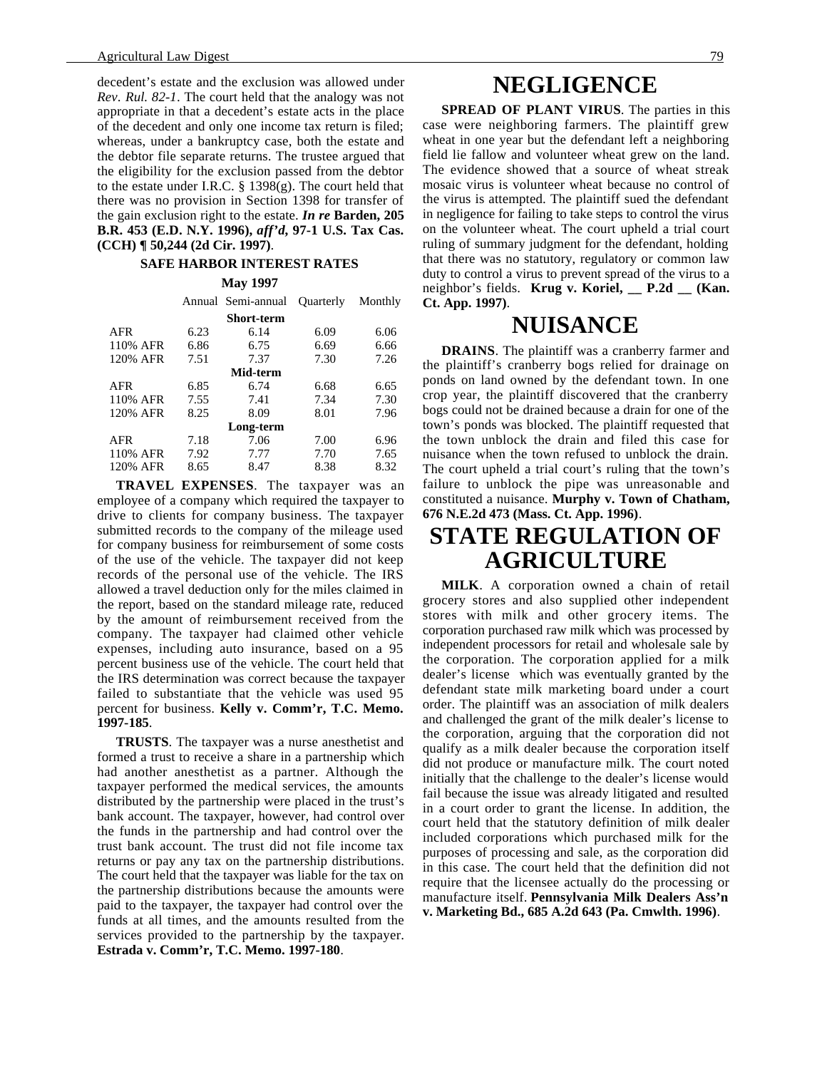decedent's estate and the exclusion was allowed under *Rev*. *Rul. 82-1*. The court held that the analogy was not appropriate in that a decedent's estate acts in the place of the decedent and only one income tax return is filed; whereas, under a bankruptcy case, both the estate and the debtor file separate returns. The trustee argued that the eligibility for the exclusion passed from the debtor to the estate under I.R.C. § 1398(g). The court held that there was no provision in Section 1398 for transfer of the gain exclusion right to the estate. *In re* **Barden, 205 B.R. 453 (E.D. N.Y. 1996),** *aff'd***, 97-1 U.S. Tax Cas. (CCH) ¶ 50,244 (2d Cir. 1997)**.

#### **SAFE HARBOR INTEREST RATES**

#### **May 1997**

|            |      | Annual Semi-annual | <b>Ouarterly</b> | Monthly |
|------------|------|--------------------|------------------|---------|
| Short-term |      |                    |                  |         |
| <b>AFR</b> | 6.23 | 6.14               | 6.09             | 6.06    |
| 110% AFR   | 6.86 | 6.75               | 6.69             | 6.66    |
| 120% AFR   | 7.51 | 7.37               | 7.30             | 7.26    |
| Mid-term   |      |                    |                  |         |
| AFR        | 6.85 | 6.74               | 6.68             | 6.65    |
| 110% AFR   | 7.55 | 7.41               | 7.34             | 7.30    |
| 120% AFR   | 8.25 | 8.09               | 8.01             | 7.96    |
| Long-term  |      |                    |                  |         |
| AFR        | 7.18 | 7.06               | 7.00             | 6.96    |
| 110% AFR   | 7.92 | 7.77               | 7.70             | 7.65    |
| 120% AFR   | 8.65 | 8.47               | 8.38             | 8.32    |

**TRAVEL EXPENSES**. The taxpayer was an employee of a company which required the taxpayer to drive to clients for company business. The taxpayer submitted records to the company of the mileage used for company business for reimbursement of some costs of the use of the vehicle. The taxpayer did not keep records of the personal use of the vehicle. The IRS allowed a travel deduction only for the miles claimed in the report, based on the standard mileage rate, reduced by the amount of reimbursement received from the company. The taxpayer had claimed other vehicle expenses, including auto insurance, based on a 95 percent business use of the vehicle. The court held that the IRS determination was correct because the taxpayer failed to substantiate that the vehicle was used 95 percent for business. **Kelly v. Comm'r, T.C. Memo. 1997-185**.

**TRUSTS**. The taxpayer was a nurse anesthetist and formed a trust to receive a share in a partnership which had another anesthetist as a partner. Although the taxpayer performed the medical services, the amounts distributed by the partnership were placed in the trust's bank account. The taxpayer, however, had control over the funds in the partnership and had control over the trust bank account. The trust did not file income tax returns or pay any tax on the partnership distributions. The court held that the taxpayer was liable for the tax on the partnership distributions because the amounts were paid to the taxpayer, the taxpayer had control over the funds at all times, and the amounts resulted from the services provided to the partnership by the taxpayer. **Estrada v. Comm'r, T.C. Memo. 1997-180**.

## **NEGLIGENCE**

**SPREAD OF PLANT VIRUS**. The parties in this case were neighboring farmers. The plaintiff grew wheat in one year but the defendant left a neighboring field lie fallow and volunteer wheat grew on the land. The evidence showed that a source of wheat streak mosaic virus is volunteer wheat because no control of the virus is attempted. The plaintiff sued the defendant in negligence for failing to take steps to control the virus on the volunteer wheat. The court upheld a trial court ruling of summary judgment for the defendant, holding that there was no statutory, regulatory or common law duty to control a virus to prevent spread of the virus to a neighbor's fields. **Krug v. Koriel, \_\_ P.2d \_\_ (Kan. Ct. App. 1997)**.

### **NUISANCE**

**DRAINS**. The plaintiff was a cranberry farmer and the plaintiff's cranberry bogs relied for drainage on ponds on land owned by the defendant town. In one crop year, the plaintiff discovered that the cranberry bogs could not be drained because a drain for one of the town's ponds was blocked. The plaintiff requested that the town unblock the drain and filed this case for nuisance when the town refused to unblock the drain. The court upheld a trial court's ruling that the town's failure to unblock the pipe was unreasonable and constituted a nuisance. **Murphy v. Town of Chatham, 676 N.E.2d 473 (Mass. Ct. App. 1996)**.

## **STATE REGULATION OF AGRICULTURE**

**MILK**. A corporation owned a chain of retail grocery stores and also supplied other independent stores with milk and other grocery items. The corporation purchased raw milk which was processed by independent processors for retail and wholesale sale by the corporation. The corporation applied for a milk dealer's license which was eventually granted by the defendant state milk marketing board under a court order. The plaintiff was an association of milk dealers and challenged the grant of the milk dealer's license to the corporation, arguing that the corporation did not qualify as a milk dealer because the corporation itself did not produce or manufacture milk. The court noted initially that the challenge to the dealer's license would fail because the issue was already litigated and resulted in a court order to grant the license. In addition, the court held that the statutory definition of milk dealer included corporations which purchased milk for the purposes of processing and sale, as the corporation did in this case. The court held that the definition did not require that the licensee actually do the processing or manufacture itself. **Pennsylvania Milk Dealers Ass'n v. Marketing Bd., 685 A.2d 643 (Pa. Cmwlth. 1996)**.